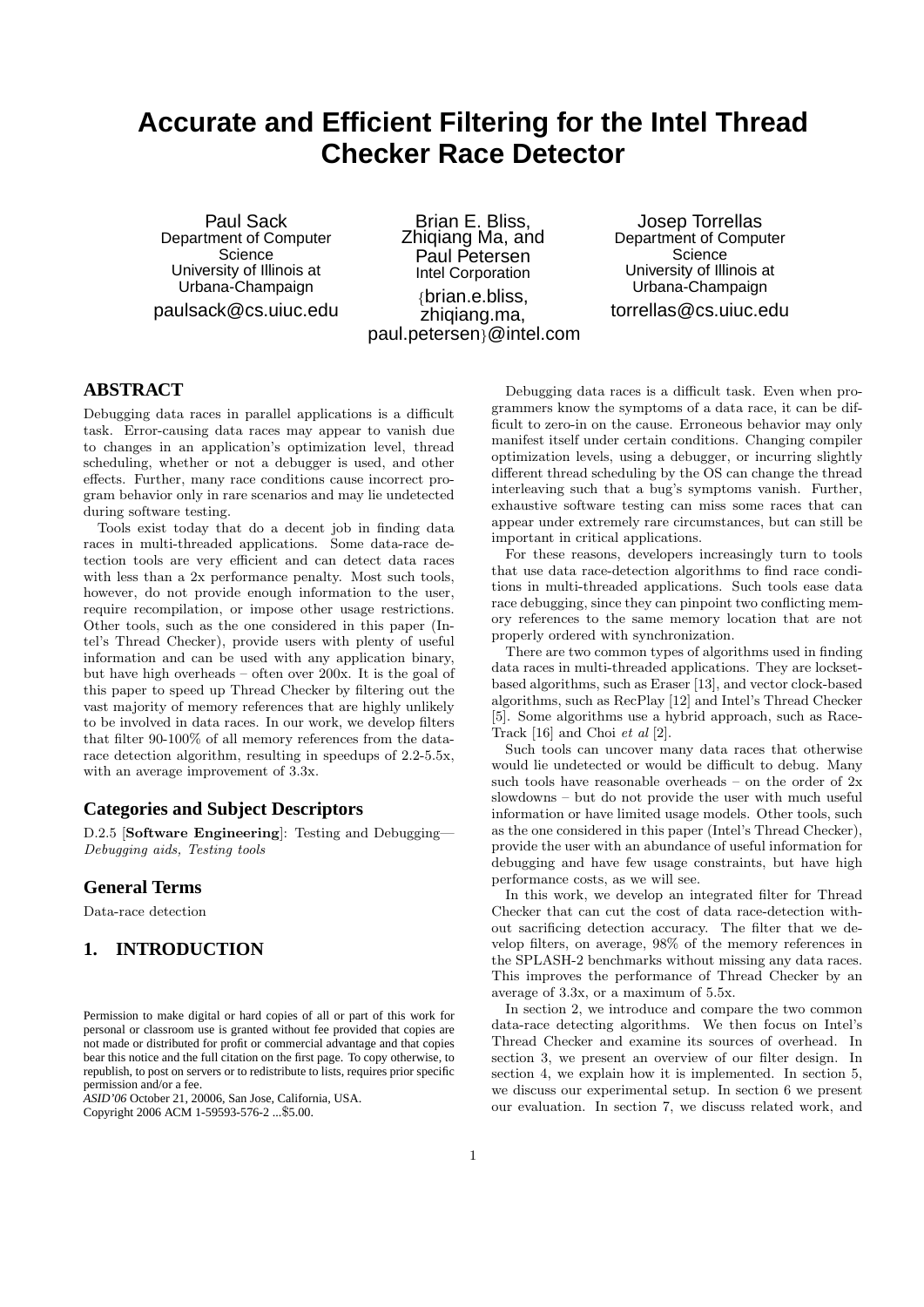# **Accurate and Efficient Filtering for the Intel Thread Checker Race Detector**

Paul Sack Department of Computer **Science** University of Illinois at Urbana-Champaign paulsack@cs.uiuc.edu

Brian E. Bliss, Zhiqiang Ma, and Paul Petersen Intel Corporation {brian.e.bliss, zhiqiang.ma, paul.petersen}@intel.com

Josep Torrellas Department of Computer **Science** University of Illinois at Urbana-Champaign torrellas@cs.uiuc.edu

# **ABSTRACT**

Debugging data races in parallel applications is a difficult task. Error-causing data races may appear to vanish due to changes in an application's optimization level, thread scheduling, whether or not a debugger is used, and other effects. Further, many race conditions cause incorrect program behavior only in rare scenarios and may lie undetected during software testing.

Tools exist today that do a decent job in finding data races in multi-threaded applications. Some data-race detection tools are very efficient and can detect data races with less than a 2x performance penalty. Most such tools, however, do not provide enough information to the user, require recompilation, or impose other usage restrictions. Other tools, such as the one considered in this paper (Intel's Thread Checker), provide users with plenty of useful information and can be used with any application binary, but have high overheads – often over 200x. It is the goal of this paper to speed up Thread Checker by filtering out the vast majority of memory references that are highly unlikely to be involved in data races. In our work, we develop filters that filter 90-100% of all memory references from the datarace detection algorithm, resulting in speedups of 2.2-5.5x, with an average improvement of 3.3x.

# **Categories and Subject Descriptors**

D.2.5 [Software Engineering]: Testing and Debugging— Debugging aids, Testing tools

## **General Terms**

Data-race detection

# **1. INTRODUCTION**

*ASID'06* October 21, 20006, San Jose, California, USA. Copyright 2006 ACM 1-59593-576-2 ...\$5.00.

Debugging data races is a difficult task. Even when programmers know the symptoms of a data race, it can be difficult to zero-in on the cause. Erroneous behavior may only manifest itself under certain conditions. Changing compiler optimization levels, using a debugger, or incurring slightly different thread scheduling by the OS can change the thread interleaving such that a bug's symptoms vanish. Further, exhaustive software testing can miss some races that can appear under extremely rare circumstances, but can still be important in critical applications.

For these reasons, developers increasingly turn to tools that use data race-detection algorithms to find race conditions in multi-threaded applications. Such tools ease data race debugging, since they can pinpoint two conflicting memory references to the same memory location that are not properly ordered with synchronization.

There are two common types of algorithms used in finding data races in multi-threaded applications. They are locksetbased algorithms, such as Eraser [13], and vector clock-based algorithms, such as RecPlay [12] and Intel's Thread Checker [5]. Some algorithms use a hybrid approach, such as Race-Track [16] and Choi et al [2].

Such tools can uncover many data races that otherwise would lie undetected or would be difficult to debug. Many such tools have reasonable overheads – on the order of  $2x$ slowdowns – but do not provide the user with much useful information or have limited usage models. Other tools, such as the one considered in this paper (Intel's Thread Checker), provide the user with an abundance of useful information for debugging and have few usage constraints, but have high performance costs, as we will see.

In this work, we develop an integrated filter for Thread Checker that can cut the cost of data race-detection without sacrificing detection accuracy. The filter that we develop filters, on average, 98% of the memory references in the SPLASH-2 benchmarks without missing any data races. This improves the performance of Thread Checker by an average of 3.3x, or a maximum of 5.5x.

In section 2, we introduce and compare the two common data-race detecting algorithms. We then focus on Intel's Thread Checker and examine its sources of overhead. In section 3, we present an overview of our filter design. In section 4, we explain how it is implemented. In section 5, we discuss our experimental setup. In section 6 we present our evaluation. In section 7, we discuss related work, and

Permission to make digital or hard copies of all or part of this work for personal or classroom use is granted without fee provided that copies are not made or distributed for profit or commercial advantage and that copies bear this notice and the full citation on the first page. To copy otherwise, to republish, to post on servers or to redistribute to lists, requires prior specific permission and/or a fee.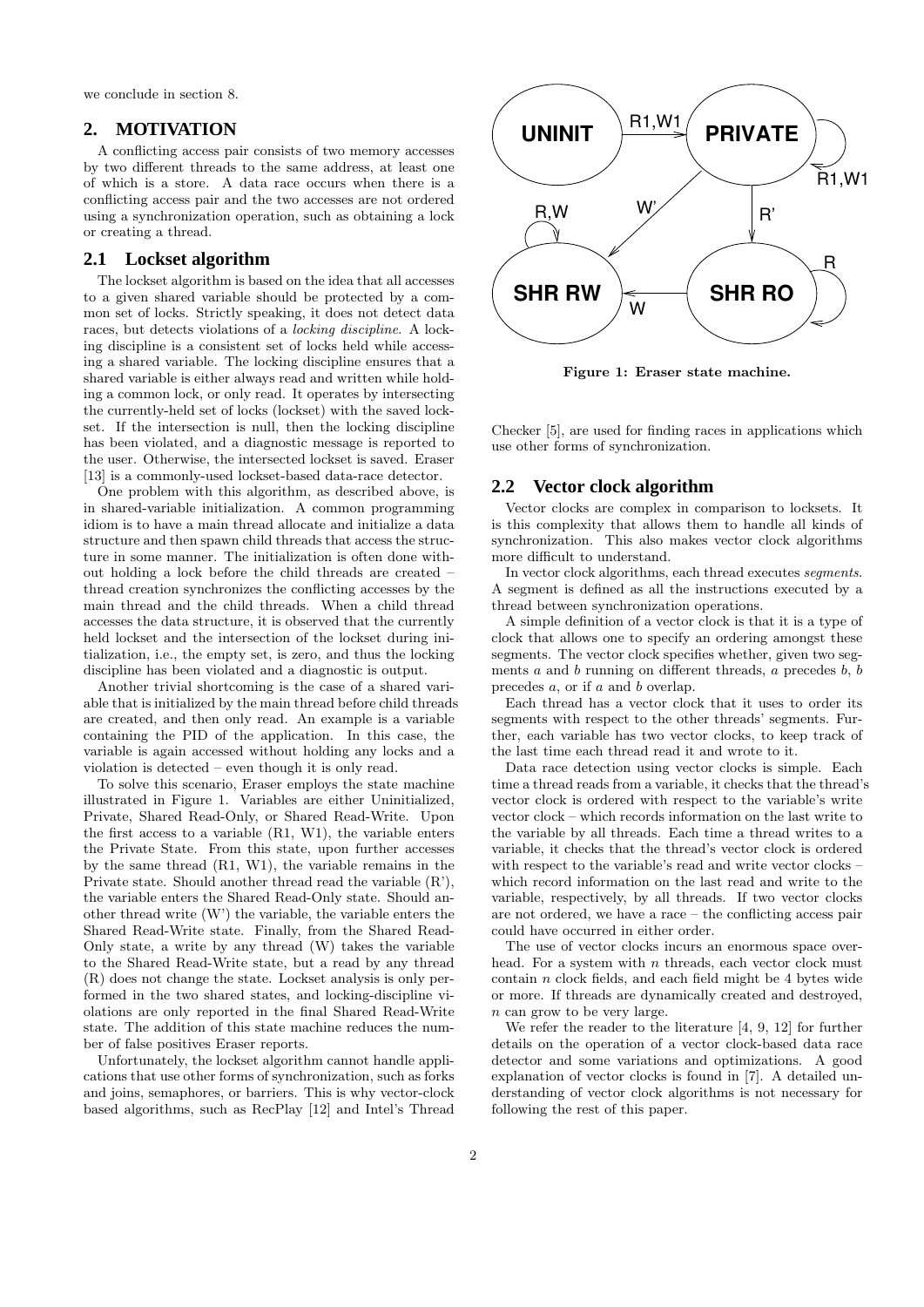we conclude in section 8.

## **2. MOTIVATION**

A conflicting access pair consists of two memory accesses by two different threads to the same address, at least one of which is a store. A data race occurs when there is a conflicting access pair and the two accesses are not ordered using a synchronization operation, such as obtaining a lock or creating a thread.

# **2.1 Lockset algorithm**

The lockset algorithm is based on the idea that all accesses to a given shared variable should be protected by a common set of locks. Strictly speaking, it does not detect data races, but detects violations of a locking discipline. A locking discipline is a consistent set of locks held while accessing a shared variable. The locking discipline ensures that a shared variable is either always read and written while holding a common lock, or only read. It operates by intersecting the currently-held set of locks (lockset) with the saved lockset. If the intersection is null, then the locking discipline has been violated, and a diagnostic message is reported to the user. Otherwise, the intersected lockset is saved. Eraser [13] is a commonly-used lockset-based data-race detector.

One problem with this algorithm, as described above, is in shared-variable initialization. A common programming idiom is to have a main thread allocate and initialize a data structure and then spawn child threads that access the structure in some manner. The initialization is often done without holding a lock before the child threads are created – thread creation synchronizes the conflicting accesses by the main thread and the child threads. When a child thread accesses the data structure, it is observed that the currently held lockset and the intersection of the lockset during initialization, i.e., the empty set, is zero, and thus the locking discipline has been violated and a diagnostic is output.

Another trivial shortcoming is the case of a shared variable that is initialized by the main thread before child threads are created, and then only read. An example is a variable containing the PID of the application. In this case, the variable is again accessed without holding any locks and a violation is detected – even though it is only read.

To solve this scenario, Eraser employs the state machine illustrated in Figure 1. Variables are either Uninitialized, Private, Shared Read-Only, or Shared Read-Write. Upon the first access to a variable (R1, W1), the variable enters the Private State. From this state, upon further accesses by the same thread (R1, W1), the variable remains in the Private state. Should another thread read the variable (R'), the variable enters the Shared Read-Only state. Should another thread write (W') the variable, the variable enters the Shared Read-Write state. Finally, from the Shared Read-Only state, a write by any thread (W) takes the variable to the Shared Read-Write state, but a read by any thread (R) does not change the state. Lockset analysis is only performed in the two shared states, and locking-discipline violations are only reported in the final Shared Read-Write state. The addition of this state machine reduces the number of false positives Eraser reports.

Unfortunately, the lockset algorithm cannot handle applications that use other forms of synchronization, such as forks and joins, semaphores, or barriers. This is why vector-clock based algorithms, such as RecPlay [12] and Intel's Thread



Figure 1: Eraser state machine.

Checker [5], are used for finding races in applications which use other forms of synchronization.

#### **2.2 Vector clock algorithm**

Vector clocks are complex in comparison to locksets. It is this complexity that allows them to handle all kinds of synchronization. This also makes vector clock algorithms more difficult to understand.

In vector clock algorithms, each thread executes segments. A segment is defined as all the instructions executed by a thread between synchronization operations.

A simple definition of a vector clock is that it is a type of clock that allows one to specify an ordering amongst these segments. The vector clock specifies whether, given two segments  $a$  and  $b$  running on different threads,  $a$  precedes  $b, b$ precedes a, or if a and b overlap.

Each thread has a vector clock that it uses to order its segments with respect to the other threads' segments. Further, each variable has two vector clocks, to keep track of the last time each thread read it and wrote to it.

Data race detection using vector clocks is simple. Each time a thread reads from a variable, it checks that the thread's vector clock is ordered with respect to the variable's write vector clock – which records information on the last write to the variable by all threads. Each time a thread writes to a variable, it checks that the thread's vector clock is ordered with respect to the variable's read and write vector clocks – which record information on the last read and write to the variable, respectively, by all threads. If two vector clocks are not ordered, we have a race – the conflicting access pair could have occurred in either order.

The use of vector clocks incurs an enormous space overhead. For a system with  $n$  threads, each vector clock must contain n clock fields, and each field might be 4 bytes wide or more. If threads are dynamically created and destroyed, n can grow to be very large.

We refer the reader to the literature [4, 9, 12] for further details on the operation of a vector clock-based data race detector and some variations and optimizations. A good explanation of vector clocks is found in [7]. A detailed understanding of vector clock algorithms is not necessary for following the rest of this paper.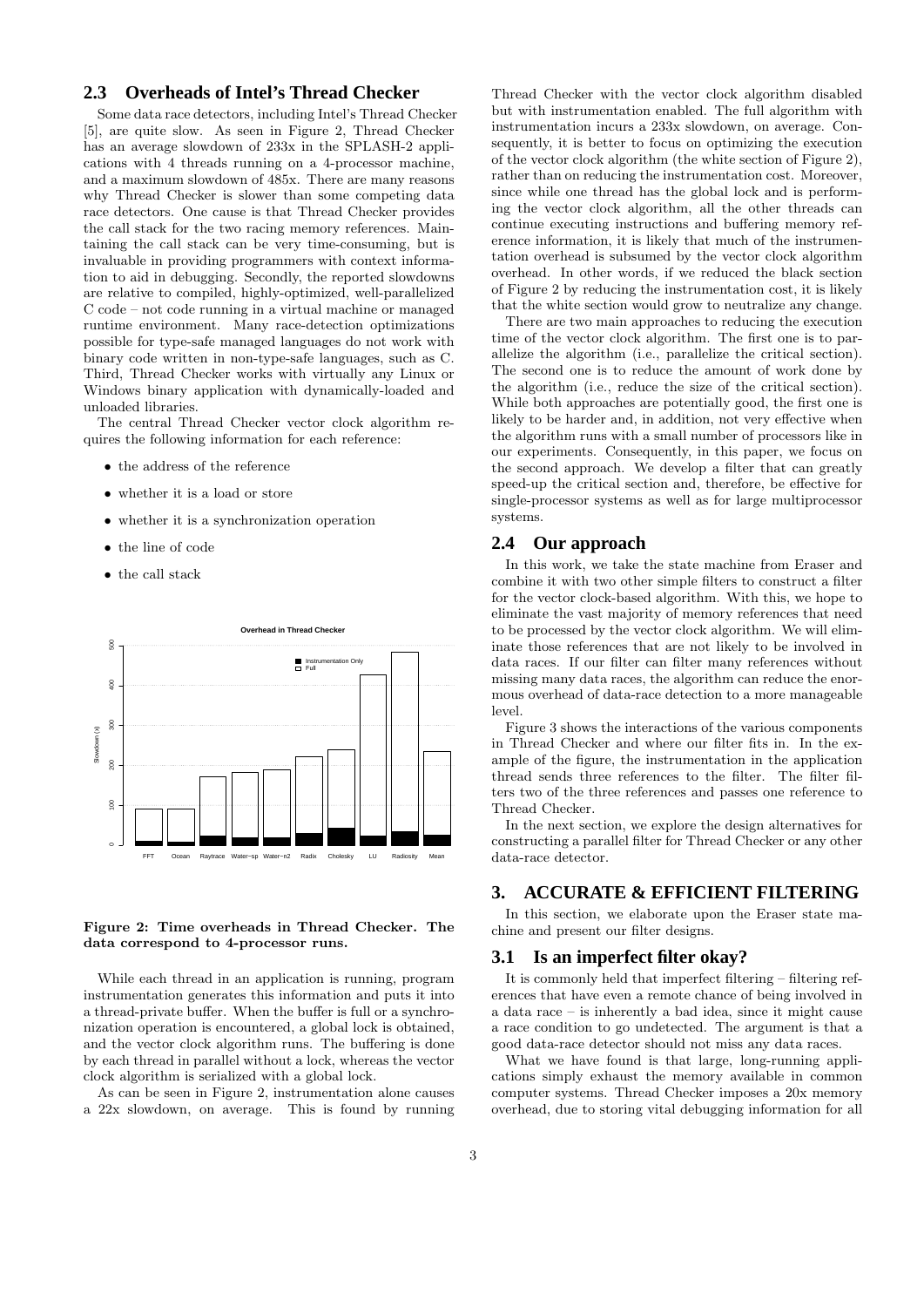# **2.3 Overheads of Intel's Thread Checker**

Some data race detectors, including Intel's Thread Checker [5], are quite slow. As seen in Figure 2, Thread Checker has an average slowdown of 233x in the SPLASH-2 applications with 4 threads running on a 4-processor machine, and a maximum slowdown of 485x. There are many reasons why Thread Checker is slower than some competing data race detectors. One cause is that Thread Checker provides the call stack for the two racing memory references. Maintaining the call stack can be very time-consuming, but is invaluable in providing programmers with context information to aid in debugging. Secondly, the reported slowdowns are relative to compiled, highly-optimized, well-parallelized C code – not code running in a virtual machine or managed runtime environment. Many race-detection optimizations possible for type-safe managed languages do not work with binary code written in non-type-safe languages, such as C. Third, Thread Checker works with virtually any Linux or Windows binary application with dynamically-loaded and unloaded libraries.

The central Thread Checker vector clock algorithm requires the following information for each reference:

- the address of the reference
- whether it is a load or store
- whether it is a synchronization operation
- the line of code
- the call stack



#### Figure 2: Time overheads in Thread Checker. The data correspond to 4-processor runs.

While each thread in an application is running, program instrumentation generates this information and puts it into a thread-private buffer. When the buffer is full or a synchronization operation is encountered, a global lock is obtained, and the vector clock algorithm runs. The buffering is done by each thread in parallel without a lock, whereas the vector clock algorithm is serialized with a global lock.

As can be seen in Figure 2, instrumentation alone causes a 22x slowdown, on average. This is found by running

Thread Checker with the vector clock algorithm disabled but with instrumentation enabled. The full algorithm with instrumentation incurs a 233x slowdown, on average. Consequently, it is better to focus on optimizing the execution of the vector clock algorithm (the white section of Figure 2), rather than on reducing the instrumentation cost. Moreover, since while one thread has the global lock and is performing the vector clock algorithm, all the other threads can continue executing instructions and buffering memory reference information, it is likely that much of the instrumentation overhead is subsumed by the vector clock algorithm overhead. In other words, if we reduced the black section of Figure 2 by reducing the instrumentation cost, it is likely that the white section would grow to neutralize any change.

There are two main approaches to reducing the execution time of the vector clock algorithm. The first one is to parallelize the algorithm (i.e., parallelize the critical section). The second one is to reduce the amount of work done by the algorithm (i.e., reduce the size of the critical section). While both approaches are potentially good, the first one is likely to be harder and, in addition, not very effective when the algorithm runs with a small number of processors like in our experiments. Consequently, in this paper, we focus on the second approach. We develop a filter that can greatly speed-up the critical section and, therefore, be effective for single-processor systems as well as for large multiprocessor systems.

#### **2.4 Our approach**

In this work, we take the state machine from Eraser and combine it with two other simple filters to construct a filter for the vector clock-based algorithm. With this, we hope to eliminate the vast majority of memory references that need to be processed by the vector clock algorithm. We will eliminate those references that are not likely to be involved in data races. If our filter can filter many references without missing many data races, the algorithm can reduce the enormous overhead of data-race detection to a more manageable level.

Figure 3 shows the interactions of the various components in Thread Checker and where our filter fits in. In the example of the figure, the instrumentation in the application thread sends three references to the filter. The filter filters two of the three references and passes one reference to Thread Checker.

In the next section, we explore the design alternatives for constructing a parallel filter for Thread Checker or any other data-race detector.

# **3. ACCURATE & EFFICIENT FILTERING**

In this section, we elaborate upon the Eraser state machine and present our filter designs.

# **3.1 Is an imperfect filter okay?**

It is commonly held that imperfect filtering – filtering references that have even a remote chance of being involved in a data race – is inherently a bad idea, since it might cause a race condition to go undetected. The argument is that a good data-race detector should not miss any data races.

What we have found is that large, long-running applications simply exhaust the memory available in common computer systems. Thread Checker imposes a 20x memory overhead, due to storing vital debugging information for all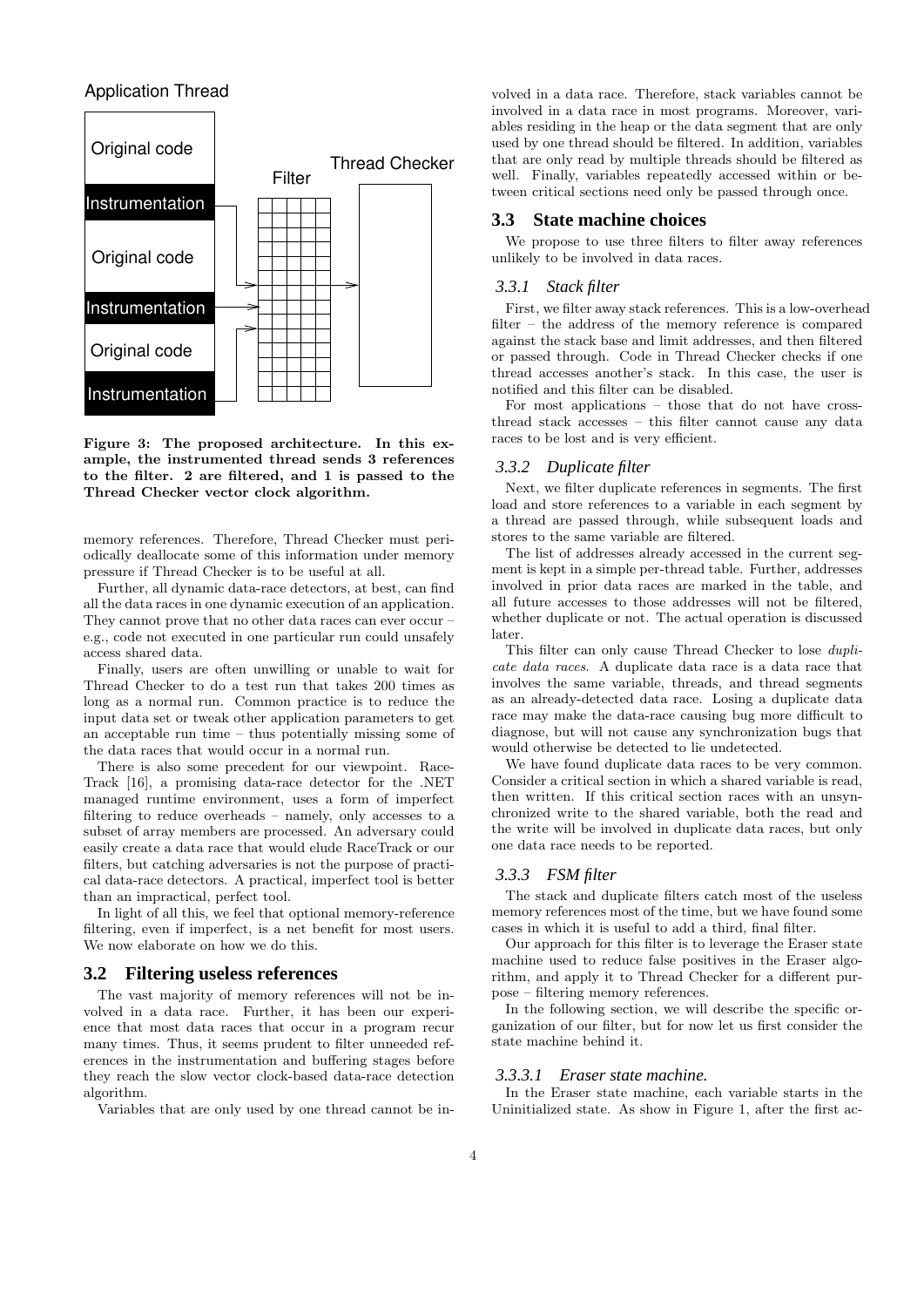# Application Thread



Figure 3: The proposed architecture. In this example, the instrumented thread sends 3 references to the filter. 2 are filtered, and 1 is passed to the Thread Checker vector clock algorithm.

memory references. Therefore, Thread Checker must periodically deallocate some of this information under memory pressure if Thread Checker is to be useful at all.

Further, all dynamic data-race detectors, at best, can find all the data races in one dynamic execution of an application. They cannot prove that no other data races can ever occur – e.g., code not executed in one particular run could unsafely access shared data.

Finally, users are often unwilling or unable to wait for Thread Checker to do a test run that takes 200 times as long as a normal run. Common practice is to reduce the input data set or tweak other application parameters to get an acceptable run time – thus potentially missing some of the data races that would occur in a normal run.

There is also some precedent for our viewpoint. Race-Track [16], a promising data-race detector for the .NET managed runtime environment, uses a form of imperfect filtering to reduce overheads – namely, only accesses to a subset of array members are processed. An adversary could easily create a data race that would elude RaceTrack or our filters, but catching adversaries is not the purpose of practical data-race detectors. A practical, imperfect tool is better than an impractical, perfect tool.

In light of all this, we feel that optional memory-reference filtering, even if imperfect, is a net benefit for most users. We now elaborate on how we do this.

## **3.2 Filtering useless references**

The vast majority of memory references will not be involved in a data race. Further, it has been our experience that most data races that occur in a program recur many times. Thus, it seems prudent to filter unneeded references in the instrumentation and buffering stages before they reach the slow vector clock-based data-race detection algorithm.

Variables that are only used by one thread cannot be in-

volved in a data race. Therefore, stack variables cannot be involved in a data race in most programs. Moreover, variables residing in the heap or the data segment that are only used by one thread should be filtered. In addition, variables that are only read by multiple threads should be filtered as well. Finally, variables repeatedly accessed within or between critical sections need only be passed through once.

#### **3.3 State machine choices**

We propose to use three filters to filter away references unlikely to be involved in data races.

# *3.3.1 Stack filter*

First, we filter away stack references. This is a low-overhead filter – the address of the memory reference is compared against the stack base and limit addresses, and then filtered or passed through. Code in Thread Checker checks if one thread accesses another's stack. In this case, the user is notified and this filter can be disabled.

For most applications – those that do not have crossthread stack accesses – this filter cannot cause any data races to be lost and is very efficient.

#### *3.3.2 Duplicate filter*

Next, we filter duplicate references in segments. The first load and store references to a variable in each segment by a thread are passed through, while subsequent loads and stores to the same variable are filtered.

The list of addresses already accessed in the current segment is kept in a simple per-thread table. Further, addresses involved in prior data races are marked in the table, and all future accesses to those addresses will not be filtered, whether duplicate or not. The actual operation is discussed later.

This filter can only cause Thread Checker to lose duplicate data races. A duplicate data race is a data race that involves the same variable, threads, and thread segments as an already-detected data race. Losing a duplicate data race may make the data-race causing bug more difficult to diagnose, but will not cause any synchronization bugs that would otherwise be detected to lie undetected.

We have found duplicate data races to be very common. Consider a critical section in which a shared variable is read, then written. If this critical section races with an unsynchronized write to the shared variable, both the read and the write will be involved in duplicate data races, but only one data race needs to be reported.

#### *3.3.3 FSM filter*

The stack and duplicate filters catch most of the useless memory references most of the time, but we have found some cases in which it is useful to add a third, final filter.

Our approach for this filter is to leverage the Eraser state machine used to reduce false positives in the Eraser algorithm, and apply it to Thread Checker for a different purpose – filtering memory references.

In the following section, we will describe the specific organization of our filter, but for now let us first consider the state machine behind it.

#### *3.3.3.1 Eraser state machine.*

In the Eraser state machine, each variable starts in the Uninitialized state. As show in Figure 1, after the first ac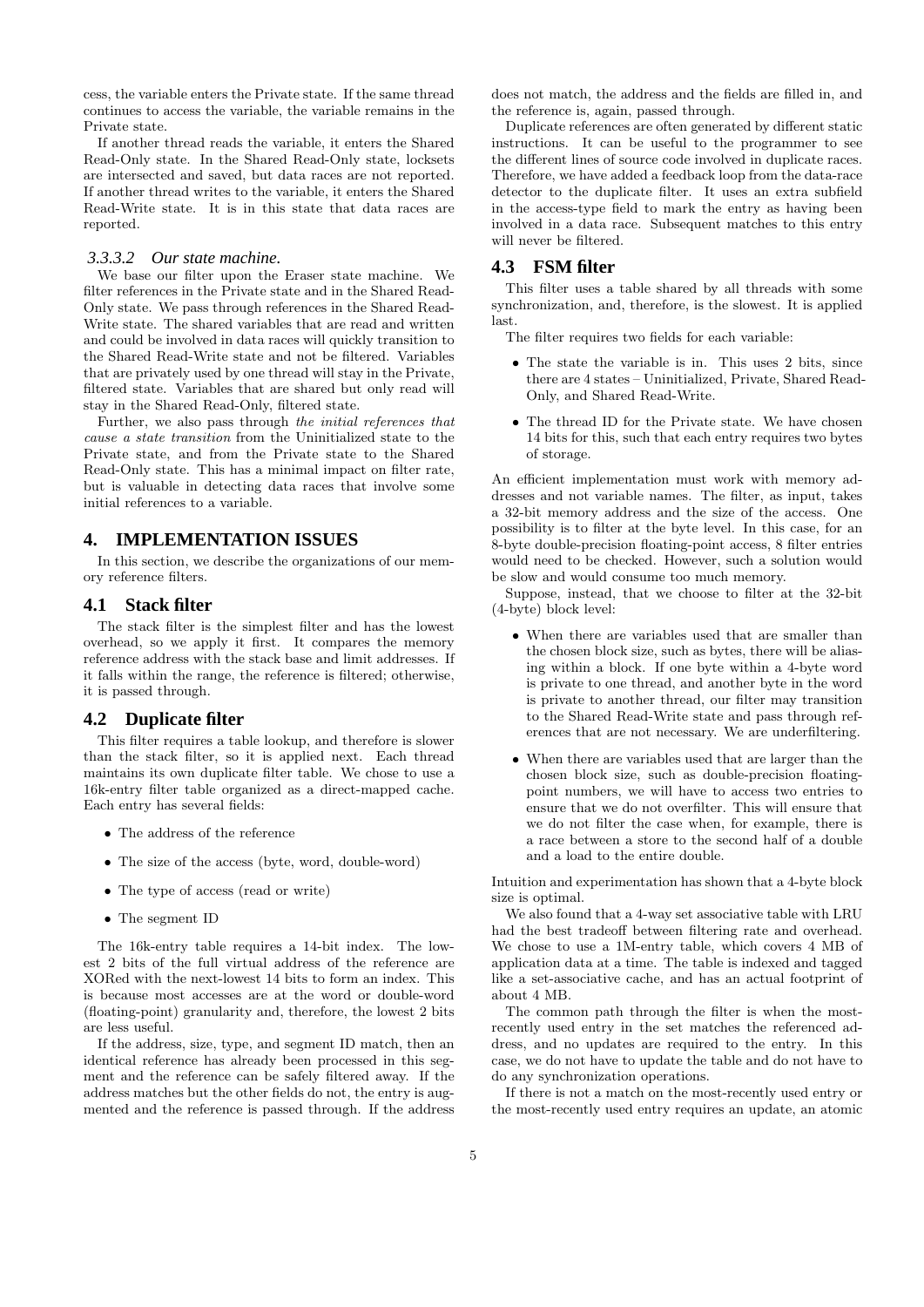cess, the variable enters the Private state. If the same thread continues to access the variable, the variable remains in the Private state.

If another thread reads the variable, it enters the Shared Read-Only state. In the Shared Read-Only state, locksets are intersected and saved, but data races are not reported. If another thread writes to the variable, it enters the Shared Read-Write state. It is in this state that data races are reported.

#### *3.3.3.2 Our state machine.*

We base our filter upon the Eraser state machine. We filter references in the Private state and in the Shared Read-Only state. We pass through references in the Shared Read-Write state. The shared variables that are read and written and could be involved in data races will quickly transition to the Shared Read-Write state and not be filtered. Variables that are privately used by one thread will stay in the Private, filtered state. Variables that are shared but only read will stay in the Shared Read-Only, filtered state.

Further, we also pass through the initial references that cause a state transition from the Uninitialized state to the Private state, and from the Private state to the Shared Read-Only state. This has a minimal impact on filter rate, but is valuable in detecting data races that involve some initial references to a variable.

# **4. IMPLEMENTATION ISSUES**

In this section, we describe the organizations of our memory reference filters.

# **4.1 Stack filter**

The stack filter is the simplest filter and has the lowest overhead, so we apply it first. It compares the memory reference address with the stack base and limit addresses. If it falls within the range, the reference is filtered; otherwise, it is passed through.

## **4.2 Duplicate filter**

This filter requires a table lookup, and therefore is slower than the stack filter, so it is applied next. Each thread maintains its own duplicate filter table. We chose to use a 16k-entry filter table organized as a direct-mapped cache. Each entry has several fields:

- The address of the reference
- The size of the access (byte, word, double-word)
- The type of access (read or write)
- The segment ID

The 16k-entry table requires a 14-bit index. The lowest 2 bits of the full virtual address of the reference are XORed with the next-lowest 14 bits to form an index. This is because most accesses are at the word or double-word (floating-point) granularity and, therefore, the lowest 2 bits are less useful.

If the address, size, type, and segment ID match, then an identical reference has already been processed in this segment and the reference can be safely filtered away. If the address matches but the other fields do not, the entry is augmented and the reference is passed through. If the address

does not match, the address and the fields are filled in, and the reference is, again, passed through.

Duplicate references are often generated by different static instructions. It can be useful to the programmer to see the different lines of source code involved in duplicate races. Therefore, we have added a feedback loop from the data-race detector to the duplicate filter. It uses an extra subfield in the access-type field to mark the entry as having been involved in a data race. Subsequent matches to this entry will never be filtered.

#### **4.3 FSM filter**

This filter uses a table shared by all threads with some synchronization, and, therefore, is the slowest. It is applied last.

The filter requires two fields for each variable:

- The state the variable is in. This uses 2 bits, since there are 4 states – Uninitialized, Private, Shared Read-Only, and Shared Read-Write.
- The thread ID for the Private state. We have chosen 14 bits for this, such that each entry requires two bytes of storage.

An efficient implementation must work with memory addresses and not variable names. The filter, as input, takes a 32-bit memory address and the size of the access. One possibility is to filter at the byte level. In this case, for an 8-byte double-precision floating-point access, 8 filter entries would need to be checked. However, such a solution would be slow and would consume too much memory.

Suppose, instead, that we choose to filter at the 32-bit (4-byte) block level:

- When there are variables used that are smaller than the chosen block size, such as bytes, there will be aliasing within a block. If one byte within a 4-byte word is private to one thread, and another byte in the word is private to another thread, our filter may transition to the Shared Read-Write state and pass through references that are not necessary. We are underfiltering.
- When there are variables used that are larger than the chosen block size, such as double-precision floatingpoint numbers, we will have to access two entries to ensure that we do not overfilter. This will ensure that we do not filter the case when, for example, there is a race between a store to the second half of a double and a load to the entire double.

Intuition and experimentation has shown that a 4-byte block size is optimal.

We also found that a 4-way set associative table with LRU had the best tradeoff between filtering rate and overhead. We chose to use a 1M-entry table, which covers 4 MB of application data at a time. The table is indexed and tagged like a set-associative cache, and has an actual footprint of about 4 MB.

The common path through the filter is when the mostrecently used entry in the set matches the referenced address, and no updates are required to the entry. In this case, we do not have to update the table and do not have to do any synchronization operations.

If there is not a match on the most-recently used entry or the most-recently used entry requires an update, an atomic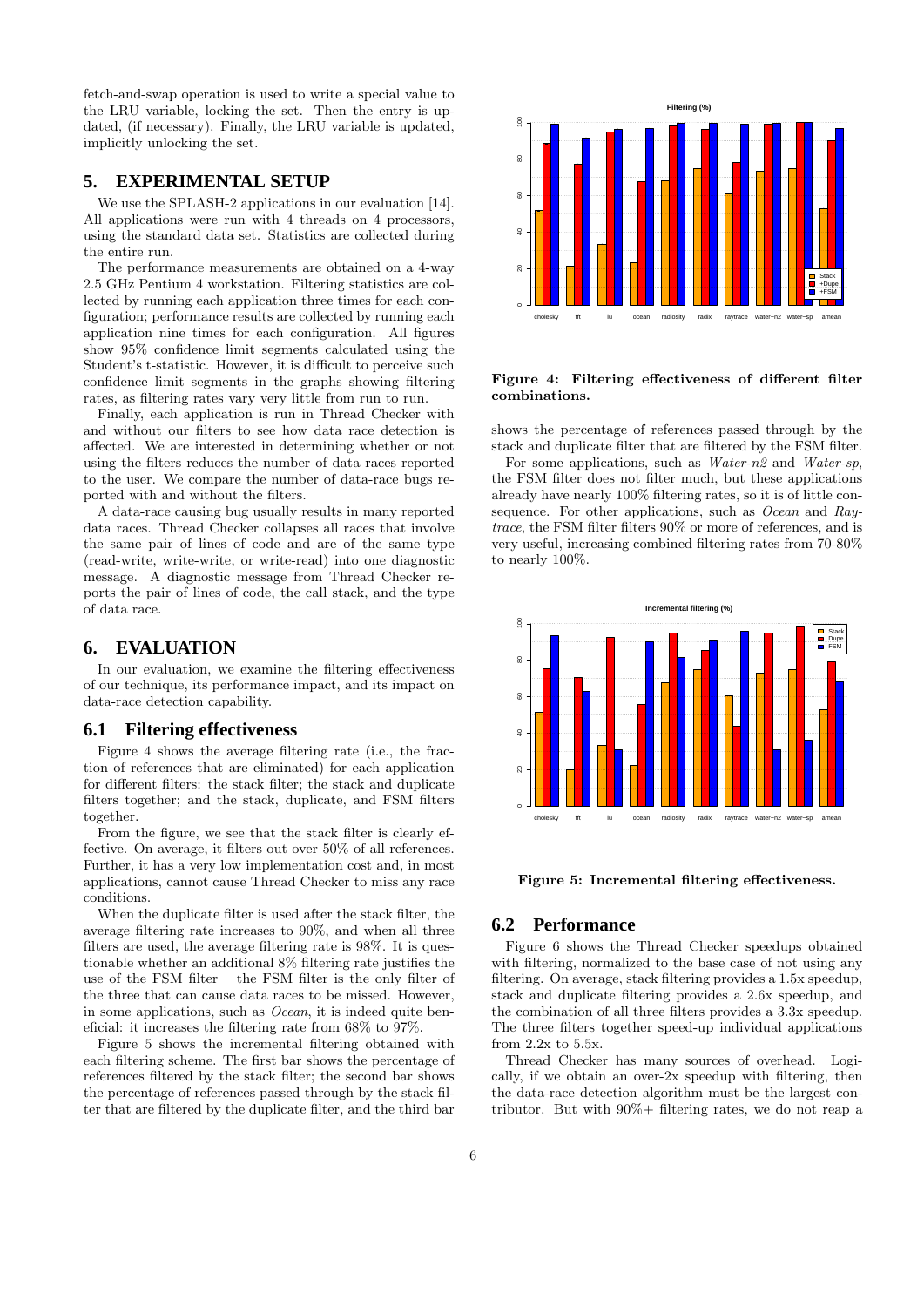fetch-and-swap operation is used to write a special value to the LRU variable, locking the set. Then the entry is updated, (if necessary). Finally, the LRU variable is updated, implicitly unlocking the set.

# **5. EXPERIMENTAL SETUP**

We use the SPLASH-2 applications in our evaluation [14]. All applications were run with 4 threads on 4 processors, using the standard data set. Statistics are collected during the entire run.

The performance measurements are obtained on a 4-way 2.5 GHz Pentium 4 workstation. Filtering statistics are collected by running each application three times for each configuration; performance results are collected by running each application nine times for each configuration. All figures show 95% confidence limit segments calculated using the Student's t-statistic. However, it is difficult to perceive such confidence limit segments in the graphs showing filtering rates, as filtering rates vary very little from run to run.

Finally, each application is run in Thread Checker with and without our filters to see how data race detection is affected. We are interested in determining whether or not using the filters reduces the number of data races reported to the user. We compare the number of data-race bugs reported with and without the filters.

A data-race causing bug usually results in many reported data races. Thread Checker collapses all races that involve the same pair of lines of code and are of the same type (read-write, write-write, or write-read) into one diagnostic message. A diagnostic message from Thread Checker reports the pair of lines of code, the call stack, and the type of data race.

# **6. EVALUATION**

In our evaluation, we examine the filtering effectiveness of our technique, its performance impact, and its impact on data-race detection capability.

#### **6.1 Filtering effectiveness**

Figure 4 shows the average filtering rate (i.e., the fraction of references that are eliminated) for each application for different filters: the stack filter; the stack and duplicate filters together; and the stack, duplicate, and FSM filters together.

From the figure, we see that the stack filter is clearly effective. On average, it filters out over 50% of all references. Further, it has a very low implementation cost and, in most applications, cannot cause Thread Checker to miss any race conditions.

When the duplicate filter is used after the stack filter, the average filtering rate increases to 90%, and when all three filters are used, the average filtering rate is 98%. It is questionable whether an additional 8% filtering rate justifies the use of the FSM filter – the FSM filter is the only filter of the three that can cause data races to be missed. However, in some applications, such as  $Ocean$ , it is indeed quite beneficial: it increases the filtering rate from 68% to 97%.

Figure 5 shows the incremental filtering obtained with each filtering scheme. The first bar shows the percentage of references filtered by the stack filter; the second bar shows the percentage of references passed through by the stack filter that are filtered by the duplicate filter, and the third bar



Figure 4: Filtering effectiveness of different filter combinations.

shows the percentage of references passed through by the stack and duplicate filter that are filtered by the FSM filter.

For some applications, such as *Water-n2* and *Water-sp*, the FSM filter does not filter much, but these applications already have nearly 100% filtering rates, so it is of little consequence. For other applications, such as *Ocean* and Raytrace, the FSM filter filters 90% or more of references, and is very useful, increasing combined filtering rates from 70-80% to nearly 100%.



Figure 5: Incremental filtering effectiveness.

# **6.2 Performance**

Figure 6 shows the Thread Checker speedups obtained with filtering, normalized to the base case of not using any filtering. On average, stack filtering provides a 1.5x speedup, stack and duplicate filtering provides a 2.6x speedup, and the combination of all three filters provides a 3.3x speedup. The three filters together speed-up individual applications from 2.2x to 5.5x.

Thread Checker has many sources of overhead. Logically, if we obtain an over-2x speedup with filtering, then the data-race detection algorithm must be the largest contributor. But with 90%+ filtering rates, we do not reap a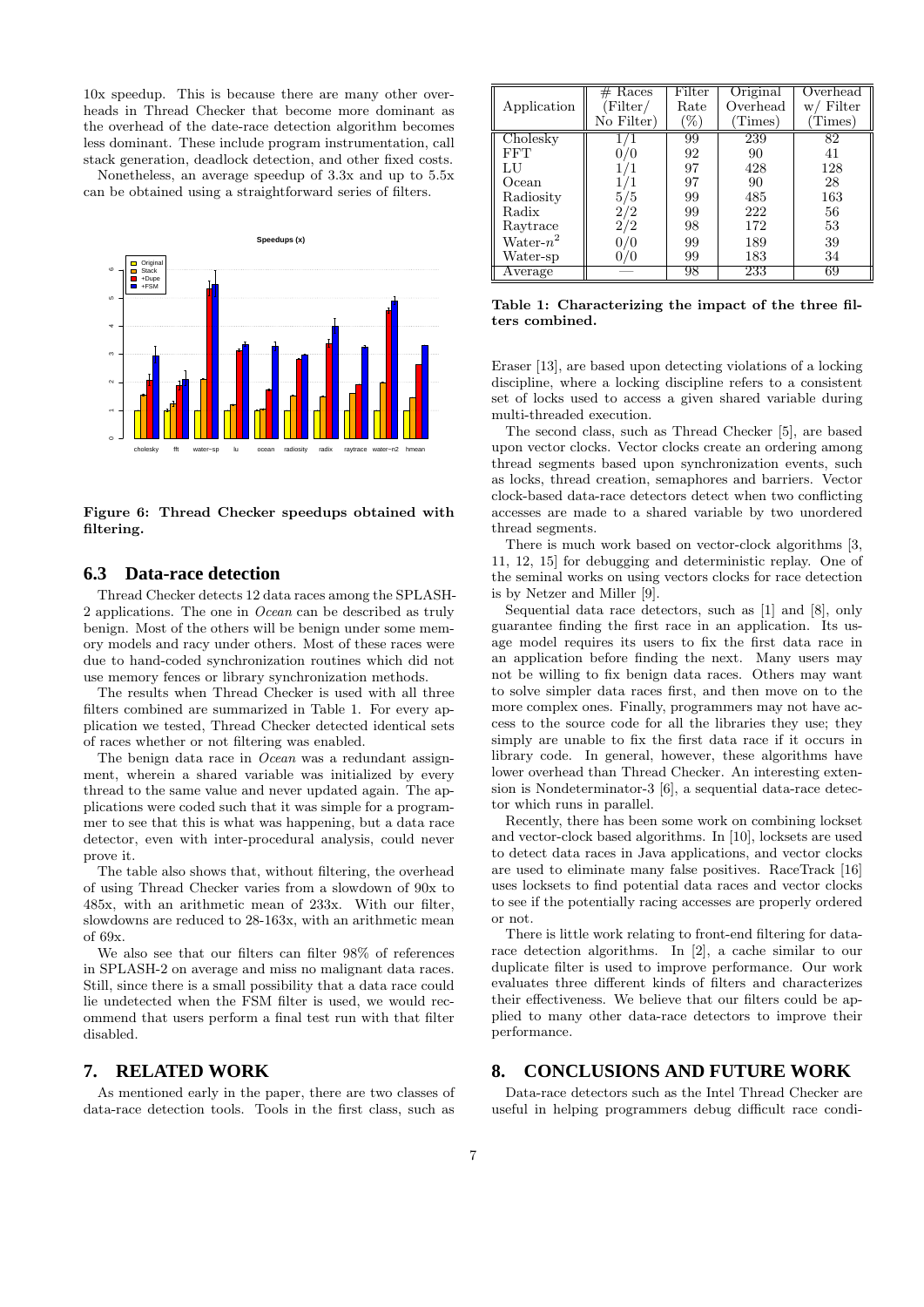10x speedup. This is because there are many other overheads in Thread Checker that become more dominant as the overhead of the date-race detection algorithm becomes less dominant. These include program instrumentation, call stack generation, deadlock detection, and other fixed costs.

Nonetheless, an average speedup of 3.3x and up to 5.5x can be obtained using a straightforward series of filters.



Figure 6: Thread Checker speedups obtained with filtering.

# **6.3 Data-race detection**

Thread Checker detects 12 data races among the SPLASH-2 applications. The one in Ocean can be described as truly benign. Most of the others will be benign under some memory models and racy under others. Most of these races were due to hand-coded synchronization routines which did not use memory fences or library synchronization methods.

The results when Thread Checker is used with all three filters combined are summarized in Table 1. For every application we tested, Thread Checker detected identical sets of races whether or not filtering was enabled.

The benign data race in *Ocean* was a redundant assignment, wherein a shared variable was initialized by every thread to the same value and never updated again. The applications were coded such that it was simple for a programmer to see that this is what was happening, but a data race detector, even with inter-procedural analysis, could never prove it.

The table also shows that, without filtering, the overhead of using Thread Checker varies from a slowdown of 90x to 485x, with an arithmetic mean of 233x. With our filter, slowdowns are reduced to 28-163x, with an arithmetic mean of 69x.

We also see that our filters can filter 98% of references in SPLASH-2 on average and miss no malignant data races. Still, since there is a small possibility that a data race could lie undetected when the FSM filter is used, we would recommend that users perform a final test run with that filter disabled.

## **7. RELATED WORK**

As mentioned early in the paper, there are two classes of data-race detection tools. Tools in the first class, such as

|                    | Races<br># | Filter | Original | Overhead     |
|--------------------|------------|--------|----------|--------------|
| Application        | Filter/    | Rate   | Overhead | Filter<br>W/ |
|                    | No Filter) | $\%$   | Times)   | Times)       |
| Cholesky           |            | 99     | 239      | 82           |
| FFT                |            | 92     | 90       | 41           |
| LU                 | 1/1        | 97     | 428      | 128          |
| Ocean              |            | 97     | 90       | 28           |
| Radiosity          | /5         | 99     | 485      | 163          |
| Radix              | 2/2        | 99     | 222      | 56           |
| Raytrace           | 2/2        | 98     | 172      | 53           |
| $\text{Water-}n^2$ |            | 99     | 189      | 39           |
| Water-sp           |            | 99     | 183      | 34           |
| Average            |            | 98     | 233      | 69           |

Table 1: Characterizing the impact of the three filters combined.

Eraser [13], are based upon detecting violations of a locking discipline, where a locking discipline refers to a consistent set of locks used to access a given shared variable during multi-threaded execution.

The second class, such as Thread Checker [5], are based upon vector clocks. Vector clocks create an ordering among thread segments based upon synchronization events, such as locks, thread creation, semaphores and barriers. Vector clock-based data-race detectors detect when two conflicting accesses are made to a shared variable by two unordered thread segments.

There is much work based on vector-clock algorithms [3, 11, 12, 15] for debugging and deterministic replay. One of the seminal works on using vectors clocks for race detection is by Netzer and Miller [9].

Sequential data race detectors, such as [1] and [8], only guarantee finding the first race in an application. Its usage model requires its users to fix the first data race in an application before finding the next. Many users may not be willing to fix benign data races. Others may want to solve simpler data races first, and then move on to the more complex ones. Finally, programmers may not have access to the source code for all the libraries they use; they simply are unable to fix the first data race if it occurs in library code. In general, however, these algorithms have lower overhead than Thread Checker. An interesting extension is Nondeterminator-3 [6], a sequential data-race detector which runs in parallel.

Recently, there has been some work on combining lockset and vector-clock based algorithms. In [10], locksets are used to detect data races in Java applications, and vector clocks are used to eliminate many false positives. RaceTrack [16] uses locksets to find potential data races and vector clocks to see if the potentially racing accesses are properly ordered or not.

There is little work relating to front-end filtering for datarace detection algorithms. In [2], a cache similar to our duplicate filter is used to improve performance. Our work evaluates three different kinds of filters and characterizes their effectiveness. We believe that our filters could be applied to many other data-race detectors to improve their performance.

## **8. CONCLUSIONS AND FUTURE WORK**

Data-race detectors such as the Intel Thread Checker are useful in helping programmers debug difficult race condi